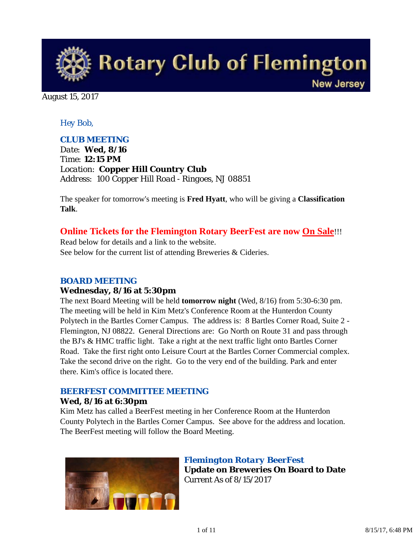**Rotary Club of Flemington New Jersey** 

August 15, 2017

### *Hey Bob,*

### *CLUB MEETING*

*Date: Wed, 8/16 Time: 12:15 PM Location: Copper Hill Country Club Address: 100 Copper Hill Road - Ringoes, NJ 08851*

The speaker for tomorrow's meeting is **Fred Hyatt**, who will be giving a **Classification Talk**.

### **Online Tickets for the Flemington Rotary BeerFest are now On Sale**!!!

Read below for details and a link to the website. See below for the current list of attending Breweries & Cideries.

### *BOARD MEETING*

### **Wednesday, 8/16 at 5:30pm**

The next Board Meeting will be held **tomorrow night** (Wed, 8/16) from 5:30-6:30 pm. The meeting will be held in Kim Metz's Conference Room at the Hunterdon County Polytech in the Bartles Corner Campus. The address is: 8 Bartles Corner Road, Suite 2 - Flemington, NJ 08822. General Directions are: Go North on Route 31 and pass through the BJ's & HMC traffic light. Take a right at the next traffic light onto Bartles Corner Road. Take the first right onto Leisure Court at the Bartles Corner Commercial complex. Take the second drive on the right. Go to the very end of the building. Park and enter there. Kim's office is located there.

### *BEERFEST COMMITTEE MEETING*

### **Wed, 8/16 at 6:30pm**

Kim Metz has called a BeerFest meeting in her Conference Room at the Hunterdon County Polytech in the Bartles Corner Campus. See above for the address and location. The BeerFest meeting will follow the Board Meeting.



*Flemington Rotary BeerFest* **Update on Breweries On Board to Date** Current As of 8/15/2017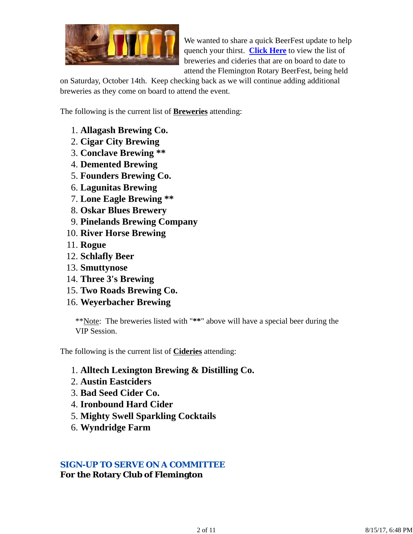

We wanted to share a quick BeerFest update to help quench your thirst. **Click Here** to view the list of breweries and cideries that are on board to date to attend the Flemington Rotary BeerFest, being held

on Saturday, October 14th. Keep checking back as we will continue adding additional breweries as they come on board to attend the event.

The following is the current list of **Breweries** attending:

- 1. **Allagash Brewing Co.**
- 2. **Cigar City Brewing**
- 3. **Conclave Brewing \*\***
- 4. **Demented Brewing**
- 5. **Founders Brewing Co.**
- 6. **Lagunitas Brewing**
- 7. **Lone Eagle Brewing \*\***
- 8. **Oskar Blues Brewery**
- 9. **Pinelands Brewing Company**
- 10. **River Horse Brewing**
- 11. **Rogue**
- 12. **Schlafly Beer**
- 13. **Smuttynose**
- 14. **Three 3's Brewing**
- 15. **Two Roads Brewing Co.**
- 16. **Weyerbacher Brewing**

\*\*Note: The breweries listed with "**\*\***" above will have a special beer during the VIP Session.

The following is the current list of **Cideries** attending:

- 1. **Alltech Lexington Brewing & Distilling Co.**
- 2. **Austin Eastciders**
- 3. **Bad Seed Cider Co.**
- 4. **Ironbound Hard Cider**
- 5. **Mighty Swell Sparkling Cocktails**
- 6. **Wyndridge Farm**

### *SIGN-UP TO SERVE ON A COMMITTEE*

**For the Rotary Club of Flemington**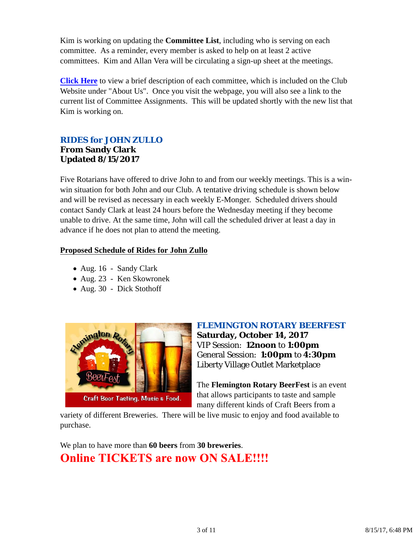Kim is working on updating the **Committee List**, including who is serving on each committee. As a reminder, every member is asked to help on at least 2 active committees. Kim and Allan Vera will be circulating a sign-up sheet at the meetings.

**Click Here** to view a brief description of each committee, which is included on the Club Website under "About Us". Once you visit the webpage, you will also see a link to the current list of Committee Assignments. This will be updated shortly with the new list that Kim is working on.

### *RIDES for JOHN ZULLO* **From Sandy Clark Updated 8/15/2017**

Five Rotarians have offered to drive John to and from our weekly meetings. This is a winwin situation for both John and our Club. A tentative driving schedule is shown below and will be revised as necessary in each weekly E-Monger. Scheduled drivers should contact Sandy Clark at least 24 hours before the Wednesday meeting if they become unable to drive. At the same time, John will call the scheduled driver at least a day in advance if he does not plan to attend the meeting.

### **Proposed Schedule of Rides for John Zullo**

- Aug. 16 Sandy Clark
- Aug. 23 Ken Skowronek
- Aug. 30 Dick Stothoff



*FLEMINGTON ROTARY BEERFEST*

**Saturday, October 14, 2017** VIP Session: **12noon** to **1:00pm** General Session: **1:00pm** to **4:30pm** Liberty Village Outlet Marketplace

The **Flemington Rotary BeerFest** is an event that allows participants to taste and sample many different kinds of Craft Beers from a

variety of different Breweries. There will be live music to enjoy and food available to purchase.

We plan to have more than **60 beers** from **30 breweries**. **Online TICKETS are now ON SALE!!!!**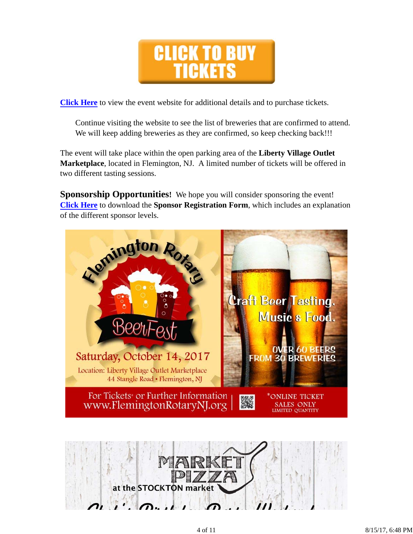

**Click Here** to view the event website for additional details and to purchase tickets.

Continue visiting the website to see the list of breweries that are confirmed to attend. We will keep adding breweries as they are confirmed, so keep checking back!!!

The event will take place within the open parking area of the **Liberty Village Outlet Marketplace**, located in Flemington, NJ. A limited number of tickets will be offered in two different tasting sessions.

**Sponsorship Opportunities!** We hope you will consider sponsoring the event! **Click Here** to download the **Sponsor Registration Form**, which includes an explanation of the different sponsor levels.

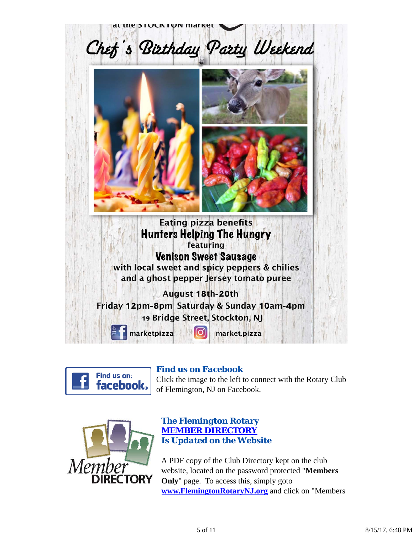



### *Find us on Facebook*

Click the image to the left to connect with the Rotary Club of Flemington, NJ on Facebook.



### *The Flemington Rotary MEMBER DIRECTORY Is Updated on the Website*

A PDF copy of the Club Directory kept on the club website, located on the password protected "**Members Only**" page. To access this, simply goto **www.FlemingtonRotaryNJ.org** and click on "Members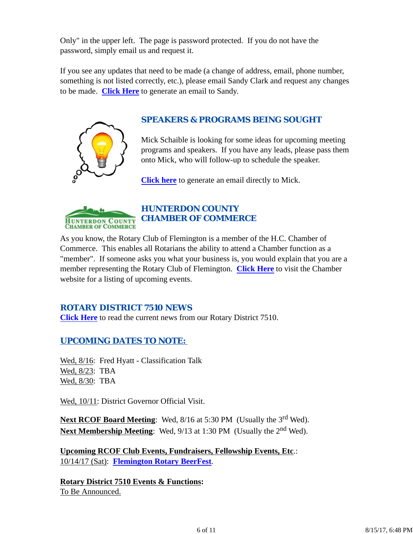Only" in the upper left. The page is password protected. If you do not have the password, simply email us and request it.

If you see any updates that need to be made (a change of address, email, phone number, something is not listed correctly, etc.), please email Sandy Clark and request any changes to be made. **Click Here** to generate an email to Sandy.



### *SPEAKERS & PROGRAMS BEING SOUGHT*

Mick Schaible is looking for some ideas for upcoming meeting programs and speakers. If you have any leads, please pass them onto Mick, who will follow-up to schedule the speaker.

**Click here** to generate an email directly to Mick.



# *HUNTERDON COUNTY CHAMBER OF COMMERCE*

As you know, the Rotary Club of Flemington is a member of the H.C. Chamber of Commerce. This enables all Rotarians the ability to attend a Chamber function as a "member". If someone asks you what your business is, you would explain that you are a member representing the Rotary Club of Flemington. **Click Here** to visit the Chamber website for a listing of upcoming events.

### *ROTARY DISTRICT 7510 NEWS*

**Click Here** to read the current news from our Rotary District 7510.

### *UPCOMING DATES TO NOTE:*

Wed,  $8/16$ : Fred Hyatt - Classification Talk Wed, 8/23: TBA Wed, 8/30: TBA

Wed, 10/11: District Governor Official Visit.

**Next RCOF Board Meeting:** Wed, 8/16 at 5:30 PM (Usually the 3<sup>rd</sup> Wed). **Next Membership Meeting:** Wed, 9/13 at 1:30 PM (Usually the 2<sup>nd</sup> Wed).

**Upcoming RCOF Club Events, Fundraisers, Fellowship Events, Etc**.: 10/14/17 (Sat): **Flemington Rotary BeerFest**.

**Rotary District 7510 Events & Functions:** To Be Announced.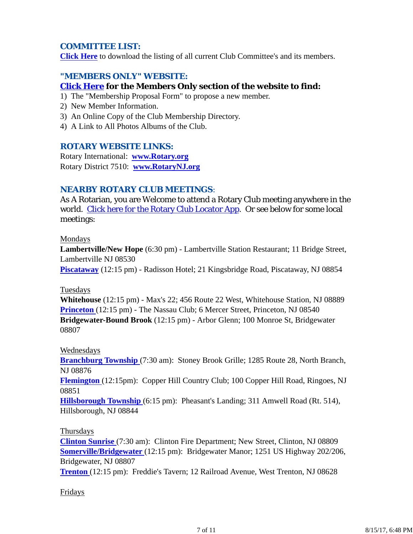### *COMMITTEE LIST:*

**Click Here** to download the listing of all current Club Committee's and its members.

### *"MEMBERS ONLY" WEBSITE:*

### **Click Here for the Members Only section of the website to find:**

- 1) The "Membership Proposal Form" to propose a new member.
- 2) New Member Information.
- 3) An Online Copy of the Club Membership Directory.
- 4) A Link to All Photos Albums of the Club.

### *ROTARY WEBSITE LINKS:*

Rotary International: **www.Rotary.org** Rotary District 7510: **www.RotaryNJ.org**

### *NEARBY ROTARY CLUB MEETINGS:*

As A Rotarian, you are Welcome to attend a Rotary Club meeting anywhere in the world. Click here for the Rotary Club Locator App. Or see below for some local meetings:

#### Mondays

**Lambertville/New Hope** (6:30 pm) - Lambertville Station Restaurant; 11 Bridge Street, Lambertville NJ 08530

**Piscataway** (12:15 pm) - Radisson Hotel; 21 Kingsbridge Road, Piscataway, NJ 08854

#### Tuesdays

**Whitehouse** (12:15 pm) - Max's 22; 456 Route 22 West, Whitehouse Station, NJ 08889 **Princeton** (12:15 pm) - The Nassau Club; 6 Mercer Street, Princeton, NJ 08540 **Bridgewater-Bound Brook** (12:15 pm) - Arbor Glenn; 100 Monroe St, Bridgewater 08807

### Wednesdays

**Branchburg Township** (7:30 am): Stoney Brook Grille; 1285 Route 28, North Branch, NJ 08876

**Flemington** (12:15pm): Copper Hill Country Club; 100 Copper Hill Road, Ringoes, NJ 08851

**Hillsborough Township** (6:15 pm): Pheasant's Landing; 311 Amwell Road (Rt. 514), Hillsborough, NJ 08844

### Thursdays

**Clinton Sunrise** (7:30 am): Clinton Fire Department; New Street, Clinton, NJ 08809 **Somerville/Bridgewater** (12:15 pm): Bridgewater Manor; 1251 US Highway 202/206, Bridgewater, NJ 08807

**Trenton** (12:15 pm): Freddie's Tavern; 12 Railroad Avenue, West Trenton, NJ 08628

### Fridays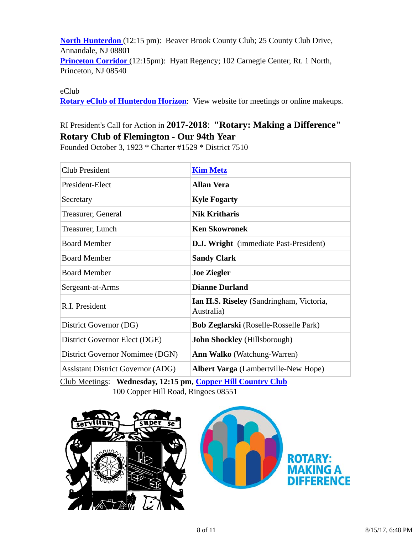**North Hunterdon** (12:15 pm): Beaver Brook County Club; 25 County Club Drive, Annandale, NJ 08801 **Princeton Corridor** (12:15pm): Hyatt Regency; 102 Carnegie Center, Rt. 1 North, Princeton, NJ 08540

eClub

**Rotary eClub of Hunterdon Horizon**: View website for meetings or online makeups.

## RI President's Call for Action in **2017-2018**: **"Rotary: Making a Difference" Rotary Club of Flemington - Our 94th Year**

Founded October 3, 1923 \* Charter #1529 \* District 7510

| <b>Club President</b>                    | <b>Kim Metz</b>                                        |  |
|------------------------------------------|--------------------------------------------------------|--|
| President-Elect                          | <b>Allan Vera</b>                                      |  |
| Secretary                                | <b>Kyle Fogarty</b>                                    |  |
| Treasurer, General                       | <b>Nik Kritharis</b>                                   |  |
| Treasurer, Lunch                         | <b>Ken Skowronek</b>                                   |  |
| <b>Board Member</b>                      | <b>D.J. Wright</b> (immediate Past-President)          |  |
| <b>Board Member</b>                      | <b>Sandy Clark</b>                                     |  |
| <b>Board Member</b>                      | <b>Joe Ziegler</b>                                     |  |
| Sergeant-at-Arms                         | <b>Dianne Durland</b>                                  |  |
| R.I. President                           | Ian H.S. Riseley (Sandringham, Victoria,<br>Australia) |  |
| District Governor (DG)                   | <b>Bob Zeglarski</b> (Roselle-Rosselle Park)           |  |
| District Governor Elect (DGE)            | <b>John Shockley</b> (Hillsborough)                    |  |
| District Governor Nomimee (DGN)          | <b>Ann Walko</b> (Watchung-Warren)                     |  |
| <b>Assistant District Governor (ADG)</b> | Albert Varga (Lambertville-New Hope)                   |  |

Club Meetings: **Wednesday, 12:15 pm, Copper Hill Country Club** 100 Copper Hill Road, Ringoes 08551



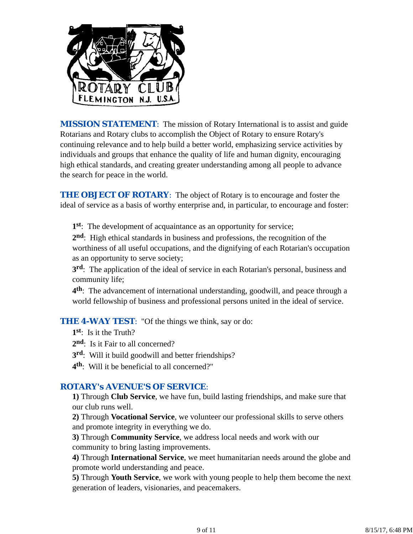

*MISSION STATEMENT*: The mission of Rotary International is to assist and guide Rotarians and Rotary clubs to accomplish the Object of Rotary to ensure Rotary's continuing relevance and to help build a better world, emphasizing service activities by individuals and groups that enhance the quality of life and human dignity, encouraging high ethical standards, and creating greater understanding among all people to advance the search for peace in the world.

**THE OBJECT OF ROTARY:** The object of Rotary is to encourage and foster the ideal of service as a basis of worthy enterprise and, in particular, to encourage and foster:

**1st**: The development of acquaintance as an opportunity for service;

**2nd**: High ethical standards in business and professions, the recognition of the worthiness of all useful occupations, and the dignifying of each Rotarian's occupation as an opportunity to serve society;

**3rd**: The application of the ideal of service in each Rotarian's personal, business and community life;

**4th**: The advancement of international understanding, goodwill, and peace through a world fellowship of business and professional persons united in the ideal of service.

**THE 4-WAY TEST:** "Of the things we think, say or do:

- **1st**: Is it the Truth?
- 2<sup>nd</sup>: Is it Fair to all concerned?
- **3rd**: Will it build goodwill and better friendships?
- **4th**: Will it be beneficial to all concerned?"

### *ROTARY's AVENUE'S OF SERVICE*:

**1)** Through **Club Service**, we have fun, build lasting friendships, and make sure that our club runs well.

**2)** Through **Vocational Service**, we volunteer our professional skills to serve others and promote integrity in everything we do.

**3)** Through **Community Service**, we address local needs and work with our community to bring lasting improvements.

**4)** Through **International Service**, we meet humanitarian needs around the globe and promote world understanding and peace.

**5)** Through **Youth Service**, we work with young people to help them become the next generation of leaders, visionaries, and peacemakers.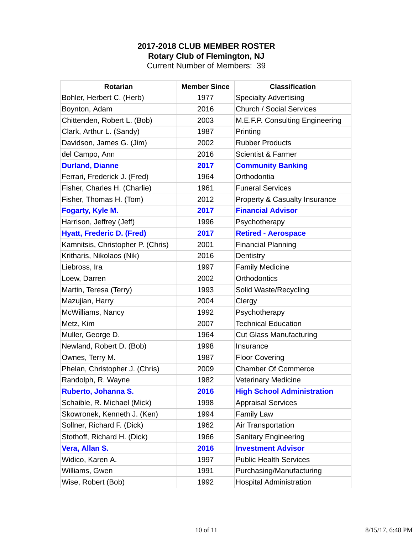# **2017-2018 CLUB MEMBER ROSTER Rotary Club of Flemington, NJ**

Current Number of Members: 39

| <b>Rotarian</b>                   | <b>Member Since</b> | <b>Classification</b>             |
|-----------------------------------|---------------------|-----------------------------------|
| Bohler, Herbert C. (Herb)         | 1977                | <b>Specialty Advertising</b>      |
| Boynton, Adam                     | 2016                | <b>Church / Social Services</b>   |
| Chittenden, Robert L. (Bob)       | 2003                | M.E.F.P. Consulting Engineering   |
| Clark, Arthur L. (Sandy)          | 1987                | Printing                          |
| Davidson, James G. (Jim)          | 2002                | <b>Rubber Products</b>            |
| del Campo, Ann                    | 2016                | <b>Scientist &amp; Farmer</b>     |
| <b>Durland, Dianne</b>            | 2017                | <b>Community Banking</b>          |
| Ferrari, Frederick J. (Fred)      | 1964                | Orthodontia                       |
| Fisher, Charles H. (Charlie)      | 1961                | <b>Funeral Services</b>           |
| Fisher, Thomas H. (Tom)           | 2012                | Property & Casualty Insurance     |
| <b>Fogarty, Kyle M.</b>           | 2017                | <b>Financial Advisor</b>          |
| Harrison, Jeffrey (Jeff)          | 1996                | Psychotherapy                     |
| <b>Hyatt, Frederic D. (Fred)</b>  | 2017                | <b>Retired - Aerospace</b>        |
| Kamnitsis, Christopher P. (Chris) | 2001                | <b>Financial Planning</b>         |
| Kritharis, Nikolaos (Nik)         | 2016                | Dentistry                         |
| Liebross, Ira                     | 1997                | <b>Family Medicine</b>            |
| Loew, Darren                      | 2002                | <b>Orthodontics</b>               |
| Martin, Teresa (Terry)            | 1993                | Solid Waste/Recycling             |
| Mazujian, Harry                   | 2004                | Clergy                            |
| McWilliams, Nancy                 | 1992                | Psychotherapy                     |
| Metz, Kim                         | 2007                | <b>Technical Education</b>        |
| Muller, George D.                 | 1964                | <b>Cut Glass Manufacturing</b>    |
| Newland, Robert D. (Bob)          | 1998                | Insurance                         |
| Ownes, Terry M.                   | 1987                | <b>Floor Covering</b>             |
| Phelan, Christopher J. (Chris)    | 2009                | <b>Chamber Of Commerce</b>        |
| Randolph, R. Wayne                | 1982                | <b>Veterinary Medicine</b>        |
| Ruberto, Johanna S.               | 2016                | <b>High School Administration</b> |
| Schaible, R. Michael (Mick)       | 1998                | <b>Appraisal Services</b>         |
| Skowronek, Kenneth J. (Ken)       | 1994                | <b>Family Law</b>                 |
| Sollner, Richard F. (Dick)        | 1962                | Air Transportation                |
| Stothoff, Richard H. (Dick)       | 1966                | <b>Sanitary Engineering</b>       |
| Vera, Allan S.                    | 2016                | <b>Investment Advisor</b>         |
| Widico, Karen A.                  | 1997                | <b>Public Health Services</b>     |
| Williams, Gwen                    | 1991                | Purchasing/Manufacturing          |
| Wise, Robert (Bob)                | 1992                | <b>Hospital Administration</b>    |